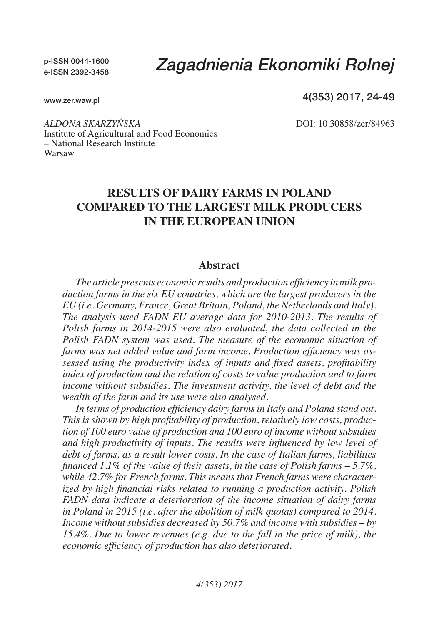p-ISSN 0044-1600 e-ISSN 2392-3458

# *Zagadnienia Ekonomiki Rolnej*

www.zer.waw.pl

4(353) 2017, 24-49

*Aldona Skarżyńska* DOI: 10.30858/zer/84963 Institute of Agricultural and Food Economics – National Research Institute Warsaw

## **Results of dairy farms in Poland compared to the largest milk producers in the European Union**

#### **Abstract**

*The article presents economic results and production efficiency in milk production farms in the six EU countries, which are the largest producers in the EU (i.e. Germany, France, Great Britain, Poland, the Netherlands and Italy). The analysis used FADN EU average data for 2010-2013. The results of Polish farms in 2014-2015 were also evaluated, the data collected in the Polish FADN system was used. The measure of the economic situation of farms was net added value and farm income. Production efficiency was assessed using the productivity index of inputs and fixed assets, profitability index of production and the relation of costs to value production and to farm income without subsidies. The investment activity, the level of debt and the wealth of the farm and its use were also analysed.* 

*In terms of production efficiency dairy farms in Italy and Poland stand out. This is shown by high profitability of production, relatively low costs, production of 100 euro value of production and 100 euro of income without subsidies and high productivity of inputs. The results were influenced by low level of debt of farms, as a result lower costs. In the case of Italian farms, liabilities financed 1.1% of the value of their assets, in the case of Polish farms – 5.7%, while 42.7% for French farms. This means that French farms were characterized by high financial risks related to running a production activity. Polish FADN data indicate a deterioration of the income situation of dairy farms in Poland in 2015 (i.e. after the abolition of milk quotas) compared to 2014. Income without subsidies decreased by 50.7% and income with subsidies – by 15.4%. Due to lower revenues (e.g. due to the fall in the price of milk), the economic efficiency of production has also deteriorated.*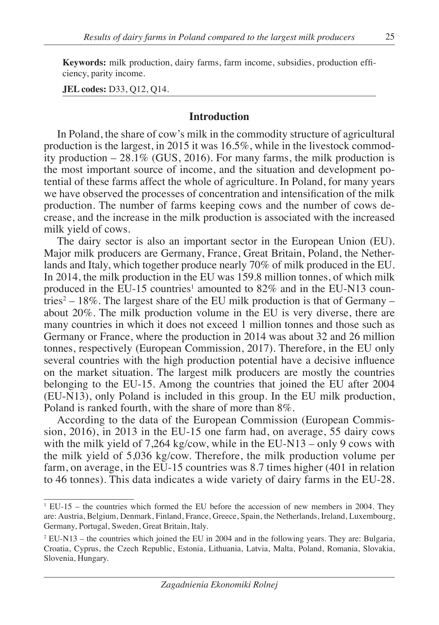**Keywords:** milk production, dairy farms, farm income, subsidies, production efficiency, parity income.

**JEL codes:** D33, Q12, Q14.

#### **Introduction**

In Poland, the share of cow's milk in the commodity structure of agricultural production is the largest, in 2015 it was 16.5%, while in the livestock commodity production  $-28.1\%$  (GUS, 2016). For many farms, the milk production is the most important source of income, and the situation and development potential of these farms affect the whole of agriculture. In Poland, for many years we have observed the processes of concentration and intensification of the milk production. The number of farms keeping cows and the number of cows decrease, and the increase in the milk production is associated with the increased milk yield of cows.

The dairy sector is also an important sector in the European Union (EU). Major milk producers are Germany, France, Great Britain, Poland, the Netherlands and Italy, which together produce nearly 70% of milk produced in the EU. In 2014, the milk production in the EU was 159.8 million tonnes, of which milk produced in the EU-15 countries<sup>1</sup> amounted to  $82\%$  and in the EU-N13 countries<sup>2</sup> – 18%. The largest share of the EU milk production is that of Germany – about 20%. The milk production volume in the EU is very diverse, there are many countries in which it does not exceed 1 million tonnes and those such as Germany or France, where the production in 2014 was about 32 and 26 million tonnes, respectively (European Commission, 2017). Therefore, in the EU only several countries with the high production potential have a decisive influence on the market situation. The largest milk producers are mostly the countries belonging to the EU-15. Among the countries that joined the EU after 2004 (EU-N13), only Poland is included in this group. In the EU milk production, Poland is ranked fourth, with the share of more than 8%.

According to the data of the European Commission (European Commission, 2016), in 2013 in the EU-15 one farm had, on average, 55 dairy cows with the milk yield of  $7.264 \text{ kg/cow}$ , while in the EU-N13 – only 9 cows with the milk yield of 5,036 kg/cow. Therefore, the milk production volume per farm, on average, in the EU-15 countries was 8.7 times higher (401 in relation to 46 tonnes). This data indicates a wide variety of dairy farms in the EU-28.

<sup>1</sup> EU-15 – the countries which formed the EU before the accession of new members in 2004. They are: Austria, Belgium, Denmark, Finland, France, Greece, Spain, the Netherlands, Ireland, Luxembourg, Germany, Portugal, Sweden, Great Britain, Italy.

<sup>&</sup>lt;sup>2</sup> EU-N13 – the countries which joined the EU in 2004 and in the following years. They are: Bulgaria, Croatia, Cyprus, the Czech Republic, Estonia, Lithuania, Latvia, Malta, Poland, Romania, Slovakia, Slovenia, Hungary.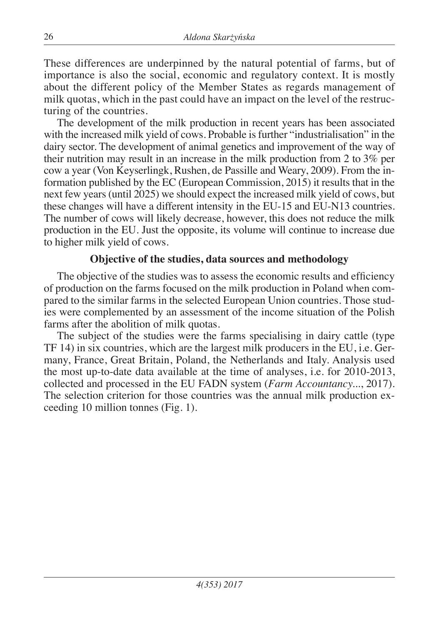These differences are underpinned by the natural potential of farms, but of importance is also the social, economic and regulatory context. It is mostly about the different policy of the Member States as regards management of milk quotas, which in the past could have an impact on the level of the restructuring of the countries.

The development of the milk production in recent years has been associated with the increased milk yield of cows. Probable is further "industrialisation" in the dairy sector. The development of animal genetics and improvement of the way of their nutrition may result in an increase in the milk production from 2 to 3% per cow a year (Von Keyserlingk, Rushen, de Passille and Weary, 2009). From the information published by the EC (European Commission, 2015) it results that in the next few years (until 2025) we should expect the increased milk yield of cows, but these changes will have a different intensity in the EU-15 and EU-N13 countries. The number of cows will likely decrease, however, this does not reduce the milk production in the EU. Just the opposite, its volume will continue to increase due to higher milk yield of cows.

## **Objective of the studies, data sources and methodology**

The objective of the studies was to assess the economic results and efficiency of production on the farms focused on the milk production in Poland when compared to the similar farms in the selected European Union countries. Those studies were complemented by an assessment of the income situation of the Polish farms after the abolition of milk quotas.

The subject of the studies were the farms specialising in dairy cattle (type TF 14) in six countries, which are the largest milk producers in the EU, i.e. Germany, France, Great Britain, Poland, the Netherlands and Italy. Analysis used the most up-to-date data available at the time of analyses, i.e. for 2010-2013, collected and processed in the EU FADN system (*Farm Accountancy...*, 2017). The selection criterion for those countries was the annual milk production exceeding 10 million tonnes (Fig. 1).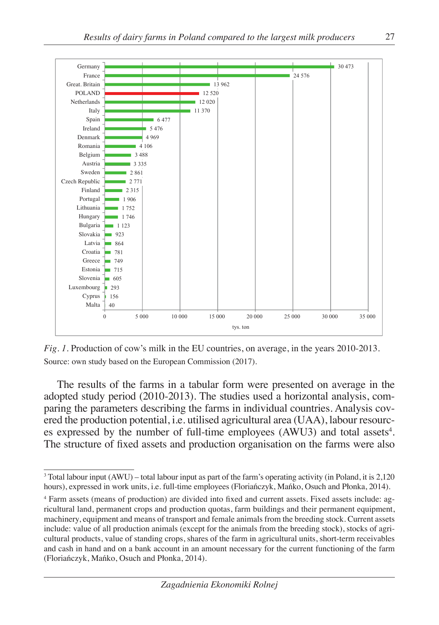

*Fig. 1.* Production of cow's milk in the EU countries, on average, in the years 2010-2013. Source: own study based on the European Commission (2017).

The results of the farms in a tabular form were presented on average in the adopted study period (2010-2013). The studies used a horizontal analysis, comparing the parameters describing the farms in individual countries. Analysis covered the production potential, i.e. utilised agricultural area (UAA), labour resources expressed by the number of full-time employees  $(AWU3)$  and total assets<sup>4</sup>. The structure of fixed assets and production organisation on the farms were also

<sup>3</sup> Total labour input (AWU) – total labour input as part of the farm's operating activity (in Poland, it is 2,120 hours), expressed in work units, i.e. full-time employees (Floriańczyk, Mańko, Osuch and Płonka, 2014).

<sup>4</sup> Farm assets (means of production) are divided into fixed and current assets. Fixed assets include: agricultural land, permanent crops and production quotas, farm buildings and their permanent equipment, machinery, equipment and means of transport and female animals from the breeding stock. Current assets include: value of all production animals (except for the animals from the breeding stock), stocks of agricultural products, value of standing crops, shares of the farm in agricultural units, short-term receivables and cash in hand and on a bank account in an amount necessary for the current functioning of the farm (Floriańczyk, Mańko, Osuch and Płonka, 2014).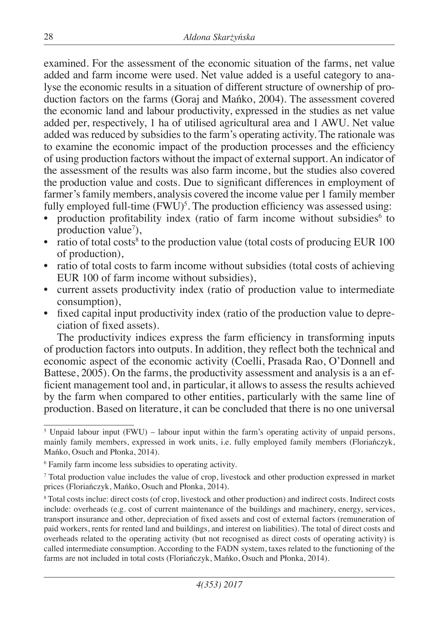examined. For the assessment of the economic situation of the farms, net value added and farm income were used. Net value added is a useful category to analyse the economic results in a situation of different structure of ownership of production factors on the farms (Goraj and Mańko, 2004). The assessment covered the economic land and labour productivity, expressed in the studies as net value added per, respectively, 1 ha of utilised agricultural area and 1 AWU. Net value added was reduced by subsidies to the farm's operating activity. The rationale was to examine the economic impact of the production processes and the efficiency of using production factors without the impact of external support. An indicator of the assessment of the results was also farm income, but the studies also covered the production value and costs. Due to significant differences in employment of farmer's family members, analysis covered the income value per 1 family member fully employed full-time  $(FWU)^5$ . The production efficiency was assessed using:

- production profitability index (ratio of farm income without subsidies<sup>6</sup> to production value<sup>7</sup>),
- ratio of total costs<sup>8</sup> to the production value (total costs of producing EUR  $100$ of production),
- ratio of total costs to farm income without subsidies (total costs of achieving EUR 100 of farm income without subsidies),
- current assets productivity index (ratio of production value to intermediate consumption),
- fixed capital input productivity index (ratio of the production value to depreciation of fixed assets).

The productivity indices express the farm efficiency in transforming inputs of production factors into outputs. In addition, they reflect both the technical and economic aspect of the economic activity (Coelli, Prasada Rao, O'Donnell and Battese, 2005). On the farms, the productivity assessment and analysis is a an efficient management tool and, in particular, it allows to assess the results achieved by the farm when compared to other entities, particularly with the same line of production. Based on literature, it can be concluded that there is no one universal

<sup>&</sup>lt;sup>5</sup> Unpaid labour input (FWU) – labour input within the farm's operating activity of unpaid persons, mainly family members, expressed in work units, i.e. fully employed family members (Floriańczyk, Mańko, Osuch and Płonka, 2014).

<sup>6</sup> Family farm income less subsidies to operating activity.

<sup>7</sup> Total production value includes the value of crop, livestock and other production expressed in market prices (Floriańczyk, Mańko, Osuch and Płonka, 2014).

<sup>8</sup> Total costs inclue: direct costs (of crop, livestock and other production) and indirect costs. Indirect costs include: overheads (e.g. cost of current maintenance of the buildings and machinery, energy, services, transport insurance and other, depreciation of fixed assets and cost of external factors (remuneration of paid workers, rents for rented land and buildings, and interest on liabilities). The total of direct costs and overheads related to the operating activity (but not recognised as direct costs of operating activity) is called intermediate consumption. According to the FADN system, taxes related to the functioning of the farms are not included in total costs (Floriańczyk, Mańko, Osuch and Płonka, 2014).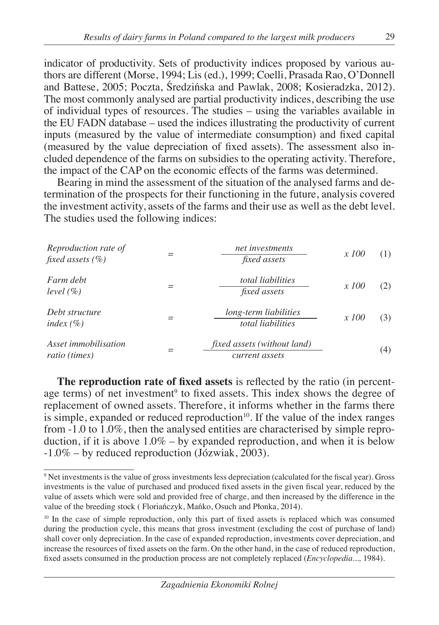indicator of productivity. Sets of productivity indices proposed by various authors are different (Morse, 1994; Lis (ed.), 1999; Coelli, Prasada Rao, O'Donnell and Battese, 2005; Poczta, Średzińska and Pawlak, 2008; Kosieradzka, 2012). The most commonly analysed are partial productivity indices, describing the use of individual types of resources. The studies – using the variables available in the EU FADN database – used the indices illustrating the productivity of current inputs (measured by the value of intermediate consumption) and fixed capital (measured by the value depreciation of fixed assets). The assessment also included dependence of the farms on subsidies to the operating activity. Therefore, the impact of the CAP on the economic effects of the farms was determined.

Bearing in mind the assessment of the situation of the analysed farms and determination of the prospects for their functioning in the future, analysis covered the investment activity, assets of the farms and their use as well as the debt level. The studies used the following indices:

| Reproduction rate of<br>fixed assets $(\% )$ | net investments<br><i>fixed assets</i>        | <i>x</i> 100 | (1) |
|----------------------------------------------|-----------------------------------------------|--------------|-----|
| Farm debt<br>level $(\% )$                   | total liabilities<br><i>fixed assets</i>      | <i>x</i> 100 | (2) |
| Debt structure<br>index $(\% )$              | long-term liabilities<br>total liabilities    | <i>x</i> 100 | (3) |
| Asset <i>immobilisation</i><br>ratio (times) | fixed assets (without land)<br>current assets |              | (4) |

**The reproduction rate of fixed assets** is reflected by the ratio (in percentage terms) of net investment<sup>9</sup> to fixed assets. This index shows the degree of replacement of owned assets. Therefore, it informs whether in the farms there is simple, expanded or reduced reproduction $10$ . If the value of the index ranges from -1.0 to 1.0%, then the analysed entities are characterised by simple reproduction, if it is above  $1.0\%$  – by expanded reproduction, and when it is below -1.0% – by reduced reproduction (Józwiak, 2003).

<sup>9</sup> Net investments is the value of gross investments less depreciation (calculated for the fiscal year). Gross investments is the value of purchased and produced fixed assets in the given fiscal year, reduced by the value of assets which were sold and provided free of charge, and then increased by the difference in the value of the breeding stock ( Floriańczyk, Mańko, Osuch and Płonka, 2014).

<sup>&</sup>lt;sup>10</sup> In the case of simple reproduction, only this part of fixed assets is replaced which was consumed during the production cycle, this means that gross investment (excluding the cost of purchase of land) shall cover only depreciation. In the case of expanded reproduction, investments cover depreciation, and increase the resources of fixed assets on the farm. On the other hand, in the case of reduced reproduction, fixed assets consumed in the production process are not completely replaced (*Encyclopedia...,* 1984).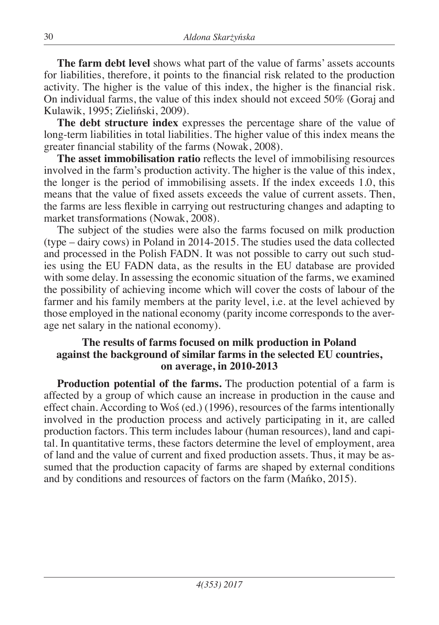**The farm debt level** shows what part of the value of farms' assets accounts for liabilities, therefore, it points to the financial risk related to the production activity. The higher is the value of this index, the higher is the financial risk. On individual farms, the value of this index should not exceed 50% (Goraj and Kulawik, 1995; Zieliński, 2009).

**The debt structure index** expresses the percentage share of the value of long-term liabilities in total liabilities. The higher value of this index means the greater financial stability of the farms (Nowak, 2008).

**The asset immobilisation ratio** reflects the level of immobilising resources involved in the farm's production activity. The higher is the value of this index, the longer is the period of immobilising assets. If the index exceeds 1.0, this means that the value of fixed assets exceeds the value of current assets. Then, the farms are less flexible in carrying out restructuring changes and adapting to market transformations (Nowak, 2008).

The subject of the studies were also the farms focused on milk production (type – dairy cows) in Poland in 2014-2015. The studies used the data collected and processed in the Polish FADN. It was not possible to carry out such studies using the EU FADN data, as the results in the EU database are provided with some delay. In assessing the economic situation of the farms, we examined the possibility of achieving income which will cover the costs of labour of the farmer and his family members at the parity level, i.e. at the level achieved by those employed in the national economy (parity income corresponds to the average net salary in the national economy).

## **The results of farms focused on milk production in Poland against the background of similar farms in the selected EU countries, on average, in 2010-2013**

**Production potential of the farms.** The production potential of a farm is affected by a group of which cause an increase in production in the cause and effect chain. According to Woś (ed.) (1996), resources of the farms intentionally involved in the production process and actively participating in it, are called production factors. This term includes labour (human resources), land and capital. In quantitative terms, these factors determine the level of employment, area of land and the value of current and fixed production assets. Thus, it may be assumed that the production capacity of farms are shaped by external conditions and by conditions and resources of factors on the farm (Mańko, 2015).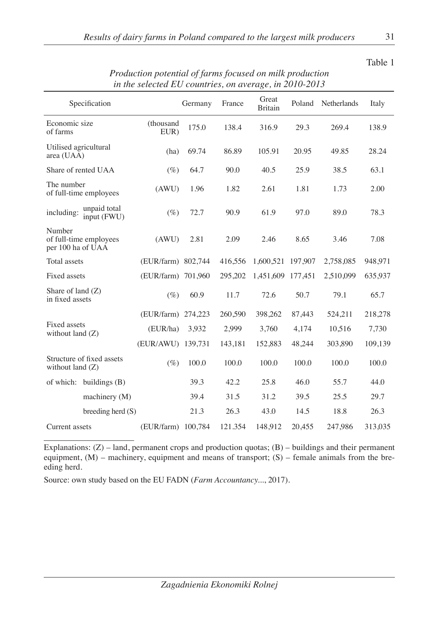| <i>in the selected LO countries, on average, in 2010-2013</i> |                             |                    |         |         |                         |         |             |         |
|---------------------------------------------------------------|-----------------------------|--------------------|---------|---------|-------------------------|---------|-------------|---------|
|                                                               | Specification               |                    | Germany | France  | Great<br><b>Britain</b> | Poland  | Netherlands | Italy   |
| Economic size<br>of farms                                     |                             | (thousand<br>EUR)  | 175.0   | 138.4   | 316.9                   | 29.3    | 269.4       | 138.9   |
| Utilised agricultural<br>area (UAA)                           |                             | (ha)               | 69.74   | 86.89   | 105.91                  | 20.95   | 49.85       | 28.24   |
|                                                               | Share of rented UAA         | $(\%)$             | 64.7    | 90.0    | 40.5                    | 25.9    | 38.5        | 63.1    |
| The number                                                    | of full-time employees      | (AWU)              | 1.96    | 1.82    | 2.61                    | 1.81    | 1.73        | 2.00    |
| including:                                                    | unpaid total<br>input (FWU) | $(\%)$             | 72.7    | 90.9    | 61.9                    | 97.0    | 89.0        | 78.3    |
| Number<br>per 100 ha of UAA                                   | of full-time employees      | (AWU)              | 2.81    | 2.09    | 2.46                    | 8.65    | 3.46        | 7.08    |
| Total assets                                                  |                             | (EUR/farm) 802,744 |         | 416,556 | 1,600,521               | 197,907 | 2,758,085   | 948,971 |
| Fixed assets                                                  | (EUR/farm) 701,960          |                    |         | 295,202 | 1,451,609               | 177,451 | 2,510,099   | 635,937 |
| Share of land (Z)<br>in fixed assets                          |                             | $(\%)$             | 60.9    | 11.7    | 72.6                    | 50.7    | 79.1        | 65.7    |
|                                                               |                             | (EUR/farm) 274,223 |         | 260,590 | 398,262                 | 87,443  | 524,211     | 218,278 |
| Fixed assets<br>without land $(Z)$                            |                             | (EUR/ha)           | 3,932   | 2.999   | 3,760                   | 4,174   | 10,516      | 7,730   |
|                                                               |                             | (EUR/AWU) 139,731  |         | 143,181 | 152,883                 | 48,244  | 303,890     | 109,139 |
| without land (Z)                                              | Structure of fixed assets   | $(\%)$             | 100.0   | 100.0   | 100.0                   | 100.0   | 100.0       | 100.0   |
|                                                               | of which: buildings $(B)$   |                    | 39.3    | 42.2    | 25.8                    | 46.0    | 55.7        | 44.0    |
|                                                               | machinery (M)               |                    | 39.4    | 31.5    | 31.2                    | 39.5    | 25.5        | 29.7    |
|                                                               | breeding herd $(S)$         |                    | 21.3    | 26.3    | 43.0                    | 14.5    | 18.8        | 26.3    |
| Current assets                                                |                             | (EUR/farm) 100,784 |         | 121.354 | 148,912                 | 20,455  | 247,986     | 313,035 |

*Production potential of farms focused on milk production in the selected EU countries, on average, in 2010-2013*

Explanations:  $(Z)$  – land, permanent crops and production quotas;  $(B)$  – buildings and their permanent equipment,  $(M)$  – machinery, equipment and means of transport;  $(S)$  – female animals from the breeding herd.

Source: own study based on the EU FADN (*Farm Accountancy...*, 2017).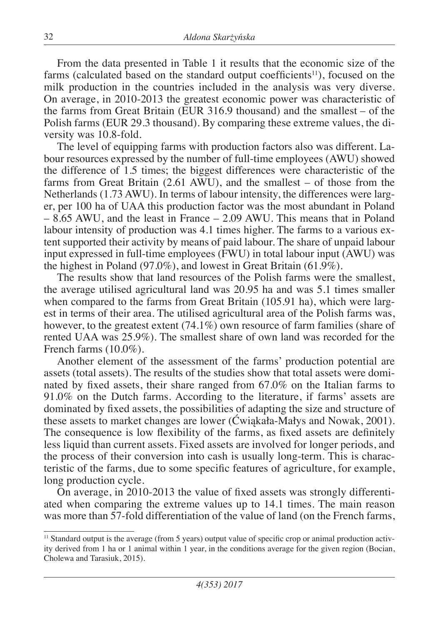From the data presented in Table 1 it results that the economic size of the farms (calculated based on the standard output coefficients<sup>11</sup>), focused on the milk production in the countries included in the analysis was very diverse. On average, in 2010-2013 the greatest economic power was characteristic of the farms from Great Britain (EUR 316.9 thousand) and the smallest – of the Polish farms (EUR 29.3 thousand). By comparing these extreme values, the diversity was 10.8-fold.

The level of equipping farms with production factors also was different. Labour resources expressed by the number of full-time employees (AWU) showed the difference of 1.5 times; the biggest differences were characteristic of the farms from Great Britain (2.61 AWU), and the smallest – of those from the Netherlands (1.73 AWU). In terms of labour intensity, the differences were larger, per 100 ha of UAA this production factor was the most abundant in Poland – 8.65 AWU, and the least in France – 2.09 AWU. This means that in Poland labour intensity of production was 4.1 times higher. The farms to a various extent supported their activity by means of paid labour. The share of unpaid labour input expressed in full-time employees (FWU) in total labour input (AWU) was the highest in Poland (97.0%), and lowest in Great Britain (61.9%).

The results show that land resources of the Polish farms were the smallest, the average utilised agricultural land was 20.95 ha and was 5.1 times smaller when compared to the farms from Great Britain (105.91 ha), which were largest in terms of their area. The utilised agricultural area of the Polish farms was, however, to the greatest extent (74.1%) own resource of farm families (share of rented UAA was 25.9%). The smallest share of own land was recorded for the French farms (10.0%).

Another element of the assessment of the farms' production potential are assets (total assets). The results of the studies show that total assets were dominated by fixed assets, their share ranged from 67.0% on the Italian farms to 91.0% on the Dutch farms. According to the literature, if farms' assets are dominated by fixed assets, the possibilities of adapting the size and structure of these assets to market changes are lower (Ćwiąkała-Małys and Nowak, 2001). The consequence is low flexibility of the farms, as fixed assets are definitely less liquid than current assets. Fixed assets are involved for longer periods, and the process of their conversion into cash is usually long-term. This is characteristic of the farms, due to some specific features of agriculture, for example, long production cycle.

On average, in 2010-2013 the value of fixed assets was strongly differentiated when comparing the extreme values up to 14.1 times. The main reason was more than 57-fold differentiation of the value of land (on the French farms,

<sup>11</sup> Standard output is the average (from 5 years) output value of specific crop or animal production activity derived from 1 ha or 1 animal within 1 year, in the conditions average for the given region (Bocian, Cholewa and Tarasiuk, 2015).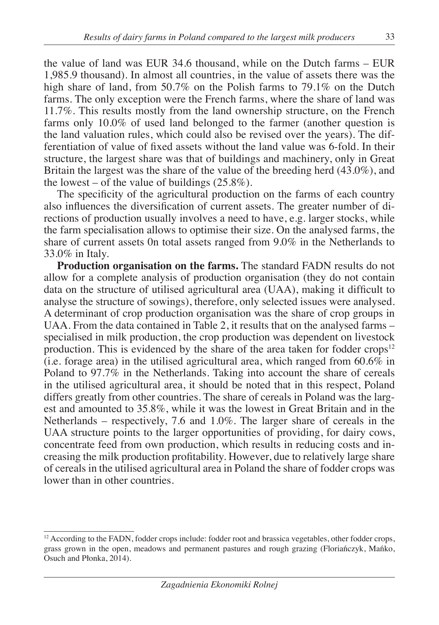the value of land was EUR 34.6 thousand, while on the Dutch farms – EUR 1,985.9 thousand). In almost all countries, in the value of assets there was the high share of land, from 50.7% on the Polish farms to 79.1% on the Dutch farms. The only exception were the French farms, where the share of land was 11.7%. This results mostly from the land ownership structure, on the French farms only 10.0% of used land belonged to the farmer (another question is the land valuation rules, which could also be revised over the years). The differentiation of value of fixed assets without the land value was 6-fold. In their structure, the largest share was that of buildings and machinery, only in Great Britain the largest was the share of the value of the breeding herd (43.0%), and the lowest – of the value of buildings  $(25.8\%)$ .

The specificity of the agricultural production on the farms of each country also influences the diversification of current assets. The greater number of directions of production usually involves a need to have, e.g. larger stocks, while the farm specialisation allows to optimise their size. On the analysed farms, the share of current assets 0n total assets ranged from 9.0% in the Netherlands to 33.0% in Italy.

**Production organisation on the farms.** The standard FADN results do not allow for a complete analysis of production organisation (they do not contain data on the structure of utilised agricultural area (UAA), making it difficult to analyse the structure of sowings), therefore, only selected issues were analysed. A determinant of crop production organisation was the share of crop groups in UAA. From the data contained in Table 2, it results that on the analysed farms – specialised in milk production, the crop production was dependent on livestock production. This is evidenced by the share of the area taken for fodder crops<sup>12</sup> (i.e. forage area) in the utilised agricultural area, which ranged from  $60.6\%$  in Poland to 97.7% in the Netherlands. Taking into account the share of cereals in the utilised agricultural area, it should be noted that in this respect, Poland differs greatly from other countries. The share of cereals in Poland was the largest and amounted to 35.8%, while it was the lowest in Great Britain and in the Netherlands – respectively, 7.6 and 1.0%. The larger share of cereals in the UAA structure points to the larger opportunities of providing, for dairy cows, concentrate feed from own production, which results in reducing costs and increasing the milk production profitability. However, due to relatively large share of cereals in the utilised agricultural area in Poland the share of fodder crops was lower than in other countries.

<sup>&</sup>lt;sup>12</sup> According to the FADN, fodder crops include: fodder root and brassica vegetables, other fodder crops, grass grown in the open, meadows and permanent pastures and rough grazing (Floriańczyk, Mańko, Osuch and Płonka, 2014).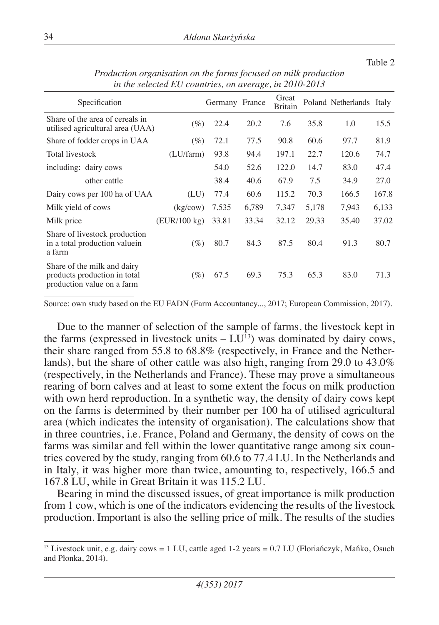#### Table 2

| Specification                                                                             |              | Germany France |       | Great<br>Britain |       | Poland Netherlands Italy |       |
|-------------------------------------------------------------------------------------------|--------------|----------------|-------|------------------|-------|--------------------------|-------|
| Share of the area of cereals in<br>utilised agricultural area (UAA)                       | $(\%)$       | 22.4           | 20.2  | 7.6              | 35.8  | 1.0                      | 15.5  |
| Share of fodder crops in UAA                                                              | $(\%)$       | 72.1           | 77.5  | 90.8             | 60.6  | 97.7                     | 81.9  |
| <b>Total livestock</b>                                                                    | (LU/farm)    | 93.8           | 94.4  | 197.1            | 22.7  | 120.6                    | 74.7  |
| including: dairy cows                                                                     |              | 54.0           | 52.6  | 122.0            | 14.7  | 83.0                     | 47.4  |
| other cattle                                                                              |              | 38.4           | 40.6  | 67.9             | 7.5   | 34.9                     | 27.0  |
| Dairy cows per 100 ha of UAA                                                              | (LU)         | 77.4           | 60.6  | 115.2            | 70.3  | 166.5                    | 167.8 |
| Milk yield of cows                                                                        | (kg/cow)     | 7,535          | 6,789 | 7,347            | 5,178 | 7,943                    | 6,133 |
| Milk price                                                                                | (EUR/100 kg) | 33.81          | 33.34 | 32.12            | 29.33 | 35.40                    | 37.02 |
| Share of livestock production<br>in a total production valuein<br>a farm                  | $(\%)$       | 80.7           | 84.3  | 87.5             | 80.4  | 91.3                     | 80.7  |
| Share of the milk and dairy<br>products production in total<br>production value on a farm | $(\%)$       | 67.5           | 69.3  | 75.3             | 65.3  | 83.0                     | 71.3  |

*Production organisation on the farms focused on milk production in the selected EU countries, on average, in 2010-2013*

Source: own study based on the EU FADN (Farm Accountancy..., 2017; European Commission, 2017).

Due to the manner of selection of the sample of farms, the livestock kept in the farms (expressed in livestock units  $- LU^{13}$ ) was dominated by dairy cows, their share ranged from 55.8 to 68.8% (respectively, in France and the Netherlands), but the share of other cattle was also high, ranging from 29.0 to 43.0% (respectively, in the Netherlands and France). These may prove a simultaneous rearing of born calves and at least to some extent the focus on milk production with own herd reproduction. In a synthetic way, the density of dairy cows kept on the farms is determined by their number per 100 ha of utilised agricultural area (which indicates the intensity of organisation). The calculations show that in three countries, i.e. France, Poland and Germany, the density of cows on the farms was similar and fell within the lower quantitative range among six countries covered by the study, ranging from 60.6 to 77.4 LU. In the Netherlands and in Italy, it was higher more than twice, amounting to, respectively, 166.5 and 167.8 LU, while in Great Britain it was 115.2 LU.

Bearing in mind the discussed issues, of great importance is milk production from 1 cow, which is one of the indicators evidencing the results of the livestock production. Important is also the selling price of milk. The results of the studies

<sup>&</sup>lt;sup>13</sup> Livestock unit, e.g. dairy cows = 1 LU, cattle aged  $1-2$  years = 0.7 LU (Florianczyk, Manko, Osuch and Płonka, 2014).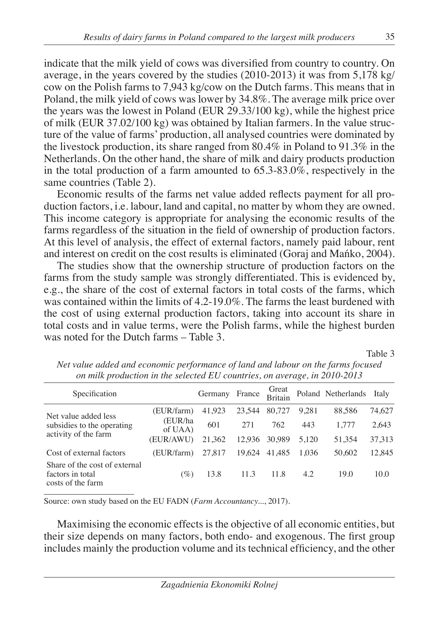indicate that the milk yield of cows was diversified from country to country. On average, in the years covered by the studies (2010-2013) it was from 5,178 kg/ cow on the Polish farms to 7,943 kg/cow on the Dutch farms. This means that in Poland, the milk yield of cows was lower by 34.8%. The average milk price over the years was the lowest in Poland (EUR 29.33/100 kg), while the highest price of milk (EUR 37.02/100 kg) was obtained by Italian farmers. In the value structure of the value of farms' production, all analysed countries were dominated by the livestock production, its share ranged from 80.4% in Poland to 91.3% in the Netherlands. On the other hand, the share of milk and dairy products production in the total production of a farm amounted to 65.3-83.0%, respectively in the same countries (Table 2).

Economic results of the farms net value added reflects payment for all production factors, i.e. labour, land and capital, no matter by whom they are owned. This income category is appropriate for analysing the economic results of the farms regardless of the situation in the field of ownership of production factors. At this level of analysis, the effect of external factors, namely paid labour, rent and interest on credit on the cost results is eliminated (Goraj and Mańko, 2004).

The studies show that the ownership structure of production factors on the farms from the study sample was strongly differentiated. This is evidenced by, e.g., the share of the cost of external factors in total costs of the farms, which was contained within the limits of 4.2-19.0%. The farms the least burdened with the cost of using external production factors, taking into account its share in total costs and in value terms, were the Polish farms, while the highest burden was noted for the Dutch farms – Table 3.

Table 3

| Specification                                                              |                    | Germany | France | Great<br><b>Britain</b> |       | Poland Netherlands | Italy  |
|----------------------------------------------------------------------------|--------------------|---------|--------|-------------------------|-------|--------------------|--------|
| Net value added less<br>subsidies to the operating<br>activity of the farm | (EUR/farm)         | 41.923  | 23.544 | 80,727                  | 9.281 | 88.586             | 74,627 |
|                                                                            | (EUR/ha<br>of UAA) | 601     | 271    | 762                     | 443   | 1,777              | 2,643  |
|                                                                            | (EUR/AWU)          | 21,362  | 12.936 | 30,989                  | 5.120 | 51,354             | 37,313 |
| Cost of external factors                                                   | (EUR/farm)         | 27,817  | 19.624 | 41.485                  | 1.036 | 50.602             | 12,845 |
| Share of the cost of external<br>factors in total<br>costs of the farm     | $(\%)$             | 13.8    | 11.3   | 11.8                    | 4.2   | 19.0               | 10.0   |

*Net value added and economic performance of land and labour on the farms focused on milk production in the selected EU countries, on average, in 2010-2013*

Source: own study based on the EU FADN (*Farm Accountancy...*, 2017).

Maximising the economic effects is the objective of all economic entities, but their size depends on many factors, both endo- and exogenous. The first group includes mainly the production volume and its technical efficiency, and the other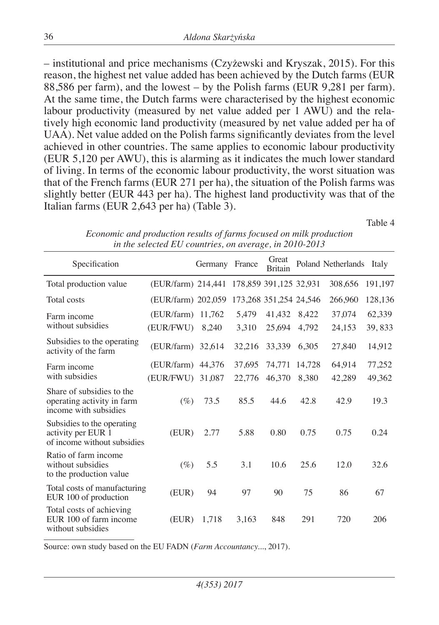– institutional and price mechanisms (Czyżewski and Kryszak, 2015). For this reason, the highest net value added has been achieved by the Dutch farms (EUR 88,586 per farm), and the lowest – by the Polish farms (EUR 9,281 per farm). At the same time, the Dutch farms were characterised by the highest economic labour productivity (measured by net value added per 1 AWU) and the relatively high economic land productivity (measured by net value added per ha of UAA). Net value added on the Polish farms significantly deviates from the level achieved in other countries. The same applies to economic labour productivity (EUR 5,120 per AWU), this is alarming as it indicates the much lower standard of living. In terms of the economic labour productivity, the worst situation was that of the French farms (EUR 271 per ha), the situation of the Polish farms was slightly better (EUR 443 per ha). The highest land productivity was that of the Italian farms (EUR 2,643 per ha) (Table 3).

Table 4

| Specification                                                                    |                    | Germany | France | Great<br><b>Britain</b> |        | Poland Netherlands Italy |         |
|----------------------------------------------------------------------------------|--------------------|---------|--------|-------------------------|--------|--------------------------|---------|
| Total production value                                                           | (EUR/farm) 214,441 |         |        | 178,859 391,125 32,931  |        | 308,656                  | 191,197 |
| Total costs                                                                      | (EUR/farm) 202,059 |         |        | 173,268 351,254 24,546  |        | 266,960                  | 128,136 |
| Farm income                                                                      | (EUR/farm) 11,762  |         | 5.479  | 41,432                  | 8.422  | 37.074                   | 62,339  |
| without subsidies                                                                | (EUR/FWU)          | 8,240   | 3,310  | 25,694                  | 4,792  | 24,153                   | 39,833  |
| Subsidies to the operating<br>activity of the farm                               | (EUR/farm) 32,614  |         | 32,216 | 33,339                  | 6,305  | 27,840                   | 14,912  |
| Farm income                                                                      | (EUR/farm) 44,376  |         | 37,695 | 74,771                  | 14,728 | 64,914                   | 77,252  |
| with subsidies                                                                   | (EUR/FWU) 31,087   |         | 22,776 | 46.370                  | 8.380  | 42,289                   | 49,362  |
| Share of subsidies to the<br>operating activity in farm<br>income with subsidies | $(\%)$             | 73.5    | 85.5   | 44.6                    | 42.8   | 42.9                     | 19.3    |
| Subsidies to the operating<br>activity per EUR 1<br>of income without subsidies  | (EUR)              | 2.77    | 5.88   | 0.80                    | 0.75   | 0.75                     | 0.24    |
| Ratio of farm income<br>without subsidies<br>to the production value             | $(\%)$             | 5.5     | 3.1    | 10.6                    | 25.6   | 12.0                     | 32.6    |
| Total costs of manufacturing<br>EUR 100 of production                            | (EUR)              | 94      | 97     | 90                      | 75     | 86                       | 67      |
| Total costs of achieving<br>EUR 100 of farm income<br>without subsidies          | (EUR)              | 1.718   | 3,163  | 848                     | 291    | 720                      | 206     |

*Economic and production results of farms focused on milk production in the selected EU countries, on average, in 2010-2013*

Source: own study based on the EU FADN (*Farm Accountancy...*, 2017).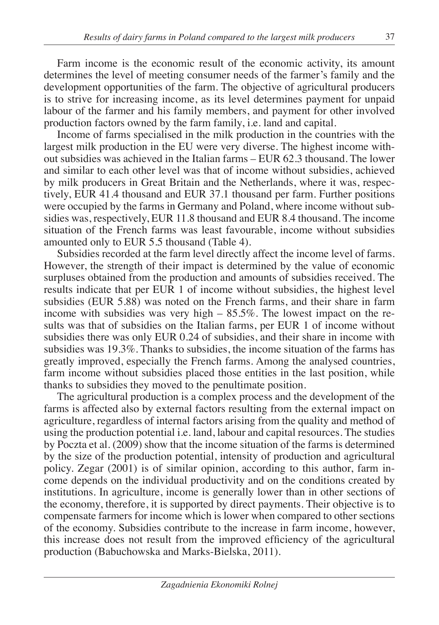Farm income is the economic result of the economic activity, its amount determines the level of meeting consumer needs of the farmer's family and the development opportunities of the farm. The objective of agricultural producers is to strive for increasing income, as its level determines payment for unpaid labour of the farmer and his family members, and payment for other involved production factors owned by the farm family, i.e. land and capital.

Income of farms specialised in the milk production in the countries with the largest milk production in the EU were very diverse. The highest income without subsidies was achieved in the Italian farms – EUR 62.3 thousand. The lower and similar to each other level was that of income without subsidies, achieved by milk producers in Great Britain and the Netherlands, where it was, respectively, EUR 41.4 thousand and EUR 37.1 thousand per farm. Further positions were occupied by the farms in Germany and Poland, where income without subsidies was, respectively, EUR 11.8 thousand and EUR 8.4 thousand. The income situation of the French farms was least favourable, income without subsidies amounted only to EUR 5.5 thousand (Table 4).

Subsidies recorded at the farm level directly affect the income level of farms. However, the strength of their impact is determined by the value of economic surpluses obtained from the production and amounts of subsidies received. The results indicate that per EUR 1 of income without subsidies, the highest level subsidies (EUR 5.88) was noted on the French farms, and their share in farm income with subsidies was very high  $-85.5\%$ . The lowest impact on the results was that of subsidies on the Italian farms, per EUR 1 of income without subsidies there was only EUR 0.24 of subsidies, and their share in income with subsidies was 19.3%. Thanks to subsidies, the income situation of the farms has greatly improved, especially the French farms. Among the analysed countries, farm income without subsidies placed those entities in the last position, while thanks to subsidies they moved to the penultimate position.

The agricultural production is a complex process and the development of the farms is affected also by external factors resulting from the external impact on agriculture, regardless of internal factors arising from the quality and method of using the production potential i.e. land, labour and capital resources. The studies by Poczta et al. (2009) show that the income situation of the farms is determined by the size of the production potential, intensity of production and agricultural policy. Zegar (2001) is of similar opinion, according to this author, farm income depends on the individual productivity and on the conditions created by institutions. In agriculture, income is generally lower than in other sections of the economy, therefore, it is supported by direct payments. Their objective is to compensate farmers for income which is lower when compared to other sections of the economy. Subsidies contribute to the increase in farm income, however, this increase does not result from the improved efficiency of the agricultural production (Babuchowska and Marks-Bielska, 2011).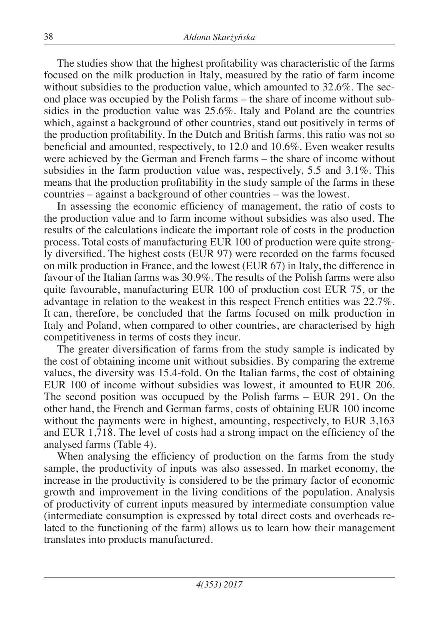The studies show that the highest profitability was characteristic of the farms focused on the milk production in Italy, measured by the ratio of farm income without subsidies to the production value, which amounted to 32.6%. The second place was occupied by the Polish farms – the share of income without subsidies in the production value was 25.6%. Italy and Poland are the countries which, against a background of other countries, stand out positively in terms of the production profitability. In the Dutch and British farms, this ratio was not so beneficial and amounted, respectively, to 12.0 and 10.6%. Even weaker results were achieved by the German and French farms – the share of income without subsidies in the farm production value was, respectively, 5.5 and 3.1%. This means that the production profitability in the study sample of the farms in these countries – against a background of other countries – was the lowest.

In assessing the economic efficiency of management, the ratio of costs to the production value and to farm income without subsidies was also used. The results of the calculations indicate the important role of costs in the production process. Total costs of manufacturing EUR 100 of production were quite strongly diversified. The highest costs (EUR 97) were recorded on the farms focused on milk production in France, and the lowest (EUR 67) in Italy, the difference in favour of the Italian farms was 30.9%. The results of the Polish farms were also quite favourable, manufacturing EUR 100 of production cost EUR 75, or the advantage in relation to the weakest in this respect French entities was 22.7%. It can, therefore, be concluded that the farms focused on milk production in Italy and Poland, when compared to other countries, are characterised by high competitiveness in terms of costs they incur.

The greater diversification of farms from the study sample is indicated by the cost of obtaining income unit without subsidies. By comparing the extreme values, the diversity was 15.4-fold. On the Italian farms, the cost of obtaining EUR 100 of income without subsidies was lowest, it amounted to EUR 206. The second position was occupued by the Polish farms – EUR 291. On the other hand, the French and German farms, costs of obtaining EUR 100 income without the payments were in highest, amounting, respectively, to EUR 3,163 and EUR 1,718. The level of costs had a strong impact on the efficiency of the analysed farms (Table 4).

When analysing the efficiency of production on the farms from the study sample, the productivity of inputs was also assessed. In market economy, the increase in the productivity is considered to be the primary factor of economic growth and improvement in the living conditions of the population. Analysis of productivity of current inputs measured by intermediate consumption value (intermediate consumption is expressed by total direct costs and overheads related to the functioning of the farm) allows us to learn how their management translates into products manufactured.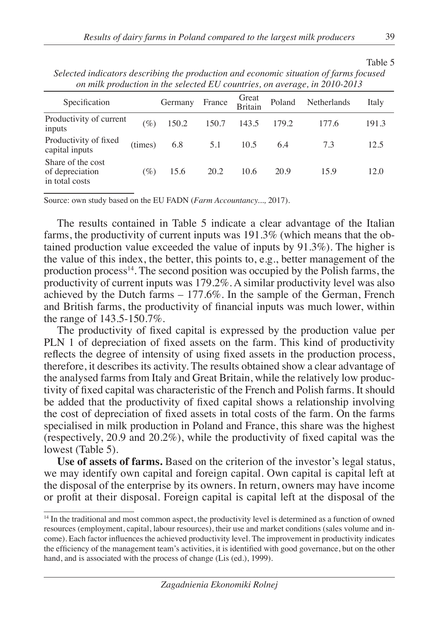| on milk production in the selected EU countries, on average, in 2010-2013 |         |         |        |                         |        |             |       |  |  |
|---------------------------------------------------------------------------|---------|---------|--------|-------------------------|--------|-------------|-------|--|--|
| Specification                                                             |         | Germany | France | Great<br><b>Britain</b> | Poland | Netherlands | Italy |  |  |
| Productivity of current<br>inputs                                         | $(\%)$  | 150.2   | 150.7  | 143.5                   | 179.2  | 177.6       | 191.3 |  |  |
| Productivity of fixed<br>capital inputs                                   | (times) | 6.8     | 5.1    | 10.5                    | 6.4    | 7.3         | 12.5  |  |  |
| Share of the cost<br>of depreciation<br>in total costs                    | $(\%)$  | 15.6    | 20.2   | 10.6                    | 20.9   | 15.9        | 12.0  |  |  |

*Selected indicators describing the production and economic situation of farms focused* 

Source: own study based on the EU FADN (*Farm Accountancy...,* 2017).

The results contained in Table 5 indicate a clear advantage of the Italian farms, the productivity of current inputs was 191.3% (which means that the obtained production value exceeded the value of inputs by 91.3%). The higher is the value of this index, the better, this points to, e.g., better management of the production process<sup>14</sup>. The second position was occupied by the Polish farms, the productivity of current inputs was 179.2%. A similar productivity level was also achieved by the Dutch farms – 177.6%. In the sample of the German, French and British farms, the productivity of financial inputs was much lower, within the range of 143.5-150.7%.

The productivity of fixed capital is expressed by the production value per PLN 1 of depreciation of fixed assets on the farm. This kind of productivity reflects the degree of intensity of using fixed assets in the production process, therefore, it describes its activity. The results obtained show a clear advantage of the analysed farms from Italy and Great Britain, while the relatively low productivity of fixed capital was characteristic of the French and Polish farms. It should be added that the productivity of fixed capital shows a relationship involving the cost of depreciation of fixed assets in total costs of the farm. On the farms specialised in milk production in Poland and France, this share was the highest (respectively, 20.9 and 20.2%), while the productivity of fixed capital was the lowest (Table 5).

**Use of assets of farms.** Based on the criterion of the investor's legal status, we may identify own capital and foreign capital. Own capital is capital left at the disposal of the enterprise by its owners. In return, owners may have income or profit at their disposal. Foreign capital is capital left at the disposal of the

Table 5

<sup>&</sup>lt;sup>14</sup> In the traditional and most common aspect, the productivity level is determined as a function of owned resources (employment, capital, labour resources), their use and market conditions (sales volume and income). Each factor influences the achieved productivity level. The improvement in productivity indicates the efficiency of the management team's activities, it is identified with good governance, but on the other hand, and is associated with the process of change (Lis (ed.), 1999).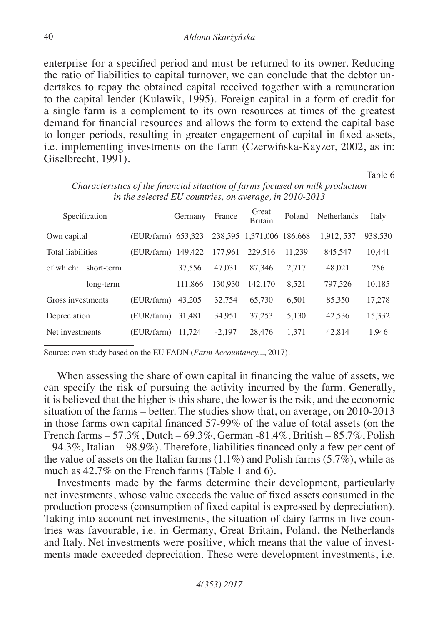enterprise for a specified period and must be returned to its owner. Reducing the ratio of liabilities to capital turnover, we can conclude that the debtor undertakes to repay the obtained capital received together with a remuneration to the capital lender (Kulawik, 1995). Foreign capital in a form of credit for a single farm is a complement to its own resources at times of the greatest demand for financial resources and allows the form to extend the capital base to longer periods, resulting in greater engagement of capital in fixed assets, i.e. implementing investments on the farm (Czerwińska-Kayzer, 2002, as in: Giselbrecht, 1991).

Table 6

| Specification            |                    | Germany | France   | Great<br><b>Britain</b>   | Poland | Netherlands | Italy   |
|--------------------------|--------------------|---------|----------|---------------------------|--------|-------------|---------|
| Own capital              | (EUR/farm) 653.323 |         |          | 238,595 1.371,006 186,668 |        | 1.912.537   | 938,530 |
| <b>Total liabilities</b> | (EUR/farm) 149,422 |         | 177.961  | 229.516                   | 11.239 | 845,547     | 10,441  |
| of which:<br>short-term  |                    | 37.556  | 47.031   | 87.346                    | 2.717  | 48.021      | 256     |
| long-term                |                    | 111,866 | 130.930  | 142,170                   | 8.521  | 797.526     | 10.185  |
| Gross investments        | (EUR/farm)         | 43,205  | 32.754   | 65,730                    | 6.501  | 85.350      | 17.278  |
| Depreciation             | (EUR/farm)         | 31.481  | 34.951   | 37.253                    | 5.130  | 42.536      | 15,332  |
| Net investments          | (EUR/farm)         | 11.724  | $-2.197$ | 28,476                    | 1.371  | 42.814      | 1.946   |

*Characteristics of the financial situation of farms focused on milk production in the selected EU countries, on average, in 2010-2013*

Source: own study based on the EU FADN (*Farm Accountancy...*, 2017).

When assessing the share of own capital in financing the value of assets, we can specify the risk of pursuing the activity incurred by the farm. Generally, it is believed that the higher is this share, the lower is the rsik, and the economic situation of the farms – better. The studies show that, on average, on 2010-2013 in those farms own capital financed 57-99% of the value of total assets (on the French farms – 57.3%, Dutch – 69.3%, German -81.4%, British – 85.7%, Polish – 94.3%, Italian – 98.9%). Therefore, liabilities financed only a few per cent of the value of assets on the Italian farms  $(1.1\%)$  and Polish farms  $(5.7\%)$ , while as much as 42.7% on the French farms (Table 1 and 6).

Investments made by the farms determine their development, particularly net investments, whose value exceeds the value of fixed assets consumed in the production process (consumption of fixed capital is expressed by depreciation). Taking into account net investments, the situation of dairy farms in five countries was favourable, i.e. in Germany, Great Britain, Poland, the Netherlands and Italy. Net investments were positive, which means that the value of investments made exceeded depreciation. These were development investments, i.e.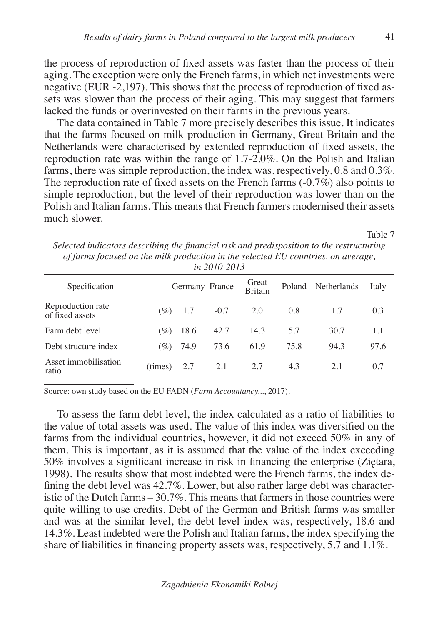the process of reproduction of fixed assets was faster than the process of their aging. The exception were only the French farms, in which net investments were negative (EUR -2,197). This shows that the process of reproduction of fixed assets was slower than the process of their aging. This may suggest that farmers lacked the funds or overinvested on their farms in the previous years.

The data contained in Table 7 more precisely describes this issue. It indicates that the farms focused on milk production in Germany, Great Britain and the Netherlands were characterised by extended reproduction of fixed assets, the reproduction rate was within the range of 1.7-2.0%. On the Polish and Italian farms, there was simple reproduction, the index was, respectively, 0.8 and 0.3%. The reproduction rate of fixed assets on the French farms  $(-0.7\%)$  also points to simple reproduction, but the level of their reproduction was lower than on the Polish and Italian farms. This means that French farmers modernised their assets much slower.

Table 7

*Selected indicators describing the financial risk and predisposition to the restructuring of farms focused on the milk production in the selected EU countries, on average, in 2010-2013*

| Specification                        |         |      | Germany France | Great<br><b>Britain</b> | Poland | Netherlands | Italy |
|--------------------------------------|---------|------|----------------|-------------------------|--------|-------------|-------|
| Reproduction rate<br>of fixed assets | (%)     | 1.7  | $-0.7$         | 2.0                     | 0.8    | 1.7         | 0.3   |
| Farm debt level                      | (%)     | 18.6 | 42.7           | 14.3                    | 5.7    | 30.7        | 1.1   |
| Debt structure index                 | (%)     | 74.9 | 73.6           | 61.9                    | 75.8   | 94.3        | 97.6  |
| Asset immobilisation<br>ratio        | (times) | 2.7  | 2.1            | 2.7                     | 4.3    | 2.1         | 0.7   |

Source: own study based on the EU FADN (*Farm Accountancy...*, 2017).

To assess the farm debt level, the index calculated as a ratio of liabilities to the value of total assets was used. The value of this index was diversified on the farms from the individual countries, however, it did not exceed 50% in any of them. This is important, as it is assumed that the value of the index exceeding 50% involves a significant increase in risk in financing the enterprise (Ziętara, 1998). The results show that most indebted were the French farms, the index defining the debt level was 42.7%. Lower, but also rather large debt was characteristic of the Dutch farms – 30.7%. This means that farmers in those countries were quite willing to use credits. Debt of the German and British farms was smaller and was at the similar level, the debt level index was, respectively, 18.6 and 14.3%. Least indebted were the Polish and Italian farms, the index specifying the share of liabilities in financing property assets was, respectively, 5.7 and 1.1%.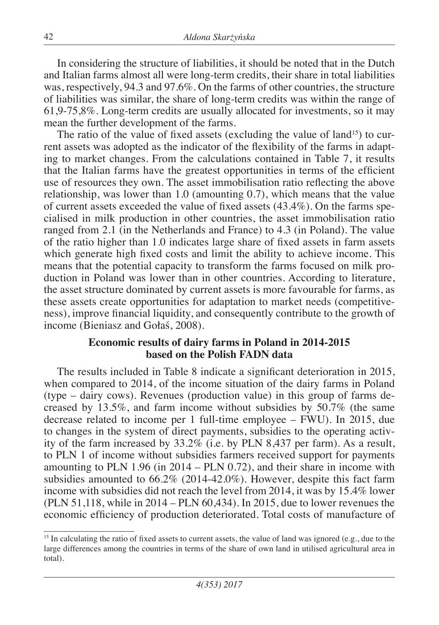In considering the structure of liabilities, it should be noted that in the Dutch and Italian farms almost all were long-term credits, their share in total liabilities was, respectively, 94.3 and 97.6%. On the farms of other countries, the structure of liabilities was similar, the share of long-term credits was within the range of 61,9-75,8%. Long-term credits are usually allocated for investments, so it may mean the further development of the farms.

The ratio of the value of fixed assets (excluding the value of land<sup>15</sup>) to current assets was adopted as the indicator of the flexibility of the farms in adapting to market changes. From the calculations contained in Table 7, it results that the Italian farms have the greatest opportunities in terms of the efficient use of resources they own. The asset immobilisation ratio reflecting the above relationship, was lower than 1.0 (amounting 0.7), which means that the value of current assets exceeded the value of fixed assets (43.4%). On the farms specialised in milk production in other countries, the asset immobilisation ratio ranged from 2.1 (in the Netherlands and France) to 4.3 (in Poland). The value of the ratio higher than 1.0 indicates large share of fixed assets in farm assets which generate high fixed costs and limit the ability to achieve income. This means that the potential capacity to transform the farms focused on milk production in Poland was lower than in other countries. According to literature, the asset structure dominated by current assets is more favourable for farms, as these assets create opportunities for adaptation to market needs (competitiveness), improve financial liquidity, and consequently contribute to the growth of income (Bieniasz and Gołaś, 2008).

#### **Economic results of dairy farms in Poland in 2014-2015 based on the Polish FADN data**

The results included in Table 8 indicate a significant deterioration in 2015, when compared to 2014, of the income situation of the dairy farms in Poland (type – dairy cows). Revenues (production value) in this group of farms decreased by 13.5%, and farm income without subsidies by 50.7% (the same decrease related to income per 1 full-time employee – FWU). In 2015, due to changes in the system of direct payments, subsidies to the operating activity of the farm increased by 33.2% (i.e. by PLN 8,437 per farm). As a result, to PLN 1 of income without subsidies farmers received support for payments amounting to PLN 1.96 (in 2014 – PLN 0.72), and their share in income with subsidies amounted to 66.2% (2014-42.0%). However, despite this fact farm income with subsidies did not reach the level from 2014, it was by 15.4% lower (PLN 51,118, while in 2014 – PLN 60,434). In 2015, due to lower revenues the economic efficiency of production deteriorated. Total costs of manufacture of

<sup>&</sup>lt;sup>15</sup> In calculating the ratio of fixed assets to current assets, the value of land was ignored (e.g., due to the large differences among the countries in terms of the share of own land in utilised agricultural area in total).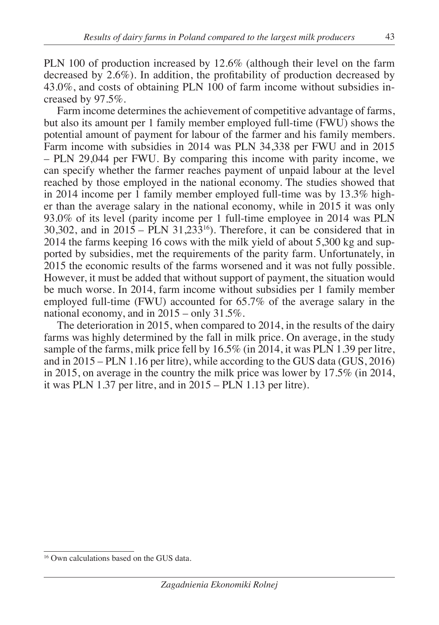PLN 100 of production increased by 12.6% (although their level on the farm decreased by 2.6%). In addition, the profitability of production decreased by 43.0%, and costs of obtaining PLN 100 of farm income without subsidies increased by 97.5%.

Farm income determines the achievement of competitive advantage of farms, but also its amount per 1 family member employed full-time (FWU) shows the potential amount of payment for labour of the farmer and his family members. Farm income with subsidies in 2014 was PLN 34,338 per FWU and in 2015 – PLN 29,044 per FWU. By comparing this income with parity income, we can specify whether the farmer reaches payment of unpaid labour at the level reached by those employed in the national economy. The studies showed that in 2014 income per 1 family member employed full-time was by 13.3% higher than the average salary in the national economy, while in 2015 it was only 93.0% of its level (parity income per 1 full-time employee in 2014 was PLN  $30,302$ , and in  $2015 - PLN$   $31,233^{16}$ ). Therefore, it can be considered that in 2014 the farms keeping 16 cows with the milk yield of about 5,300 kg and supported by subsidies, met the requirements of the parity farm. Unfortunately, in 2015 the economic results of the farms worsened and it was not fully possible. However, it must be added that without support of payment, the situation would be much worse. In 2014, farm income without subsidies per 1 family member employed full-time (FWU) accounted for 65.7% of the average salary in the national economy, and in 2015 – only 31.5%.

The deterioration in 2015, when compared to 2014, in the results of the dairy farms was highly determined by the fall in milk price. On average, in the study sample of the farms, milk price fell by 16.5% (in 2014, it was PLN 1.39 per litre, and in 2015 – PLN 1.16 per litre), while according to the GUS data (GUS, 2016) in 2015, on average in the country the milk price was lower by 17.5% (in 2014, it was PLN 1.37 per litre, and in 2015 – PLN 1.13 per litre).

<sup>16</sup> Own calculations based on the GUS data.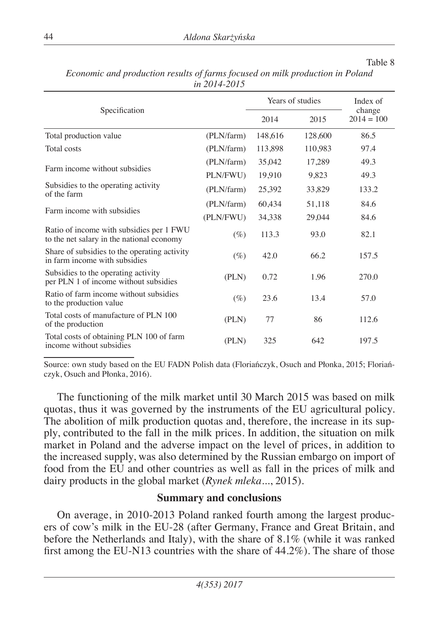#### Table 8

|                                                                                       | Years of studies | Index of |                        |       |
|---------------------------------------------------------------------------------------|------------------|----------|------------------------|-------|
| Specification                                                                         | 2014             | 2015     | change<br>$2014 = 100$ |       |
| Total production value                                                                | (PLN/farm)       | 148,616  | 128,600                | 86.5  |
| Total costs                                                                           | (PLN/farm)       | 113,898  | 110,983                | 97.4  |
|                                                                                       | (PLN/farm)       | 35,042   | 17,289                 | 49.3  |
| Farm income without subsidies                                                         | PLN/FWU)         | 19,910   | 9,823                  | 49.3  |
| Subsidies to the operating activity<br>of the farm                                    | (PLN/farm)       | 25,392   | 33,829                 | 133.2 |
| Farm income with subsidies                                                            | (PLN/farm)       | 60,434   | 51,118                 | 84.6  |
|                                                                                       | (PLN/FWU)        | 34,338   | 29,044                 | 84.6  |
| Ratio of income with subsidies per 1 FWU<br>to the net salary in the national economy | $(\%)$           | 113.3    | 93.0                   | 82.1  |
| Share of subsidies to the operating activity<br>in farm income with subsidies         | $(\%)$           | 42.0     | 66.2                   | 157.5 |
| Subsidies to the operating activity<br>per PLN 1 of income without subsidies          | (PLN)            | 0.72     | 1.96                   | 270.0 |
| Ratio of farm income without subsidies<br>to the production value                     | $(\%)$           | 23.6     | 13.4                   | 57.0  |
| Total costs of manufacture of PLN 100<br>of the production                            | (PLN)            | 77       | 86                     | 112.6 |
| Total costs of obtaining PLN 100 of farm<br>income without subsidies                  | (PLN)            | 325      | 642                    | 197.5 |

*Economic and production results of farms focused on milk production in Poland in 2014-2015*

Source: own study based on the EU FADN Polish data (Floriańczyk, Osuch and Płonka, 2015; Floriańczyk, Osuch and Płonka, 2016).

The functioning of the milk market until 30 March 2015 was based on milk quotas, thus it was governed by the instruments of the EU agricultural policy. The abolition of milk production quotas and, therefore, the increase in its supply, contributed to the fall in the milk prices. In addition, the situation on milk market in Poland and the adverse impact on the level of prices, in addition to the increased supply, was also determined by the Russian embargo on import of food from the EU and other countries as well as fall in the prices of milk and dairy products in the global market (*Rynek mleka...*, 2015).

## **Summary and conclusions**

On average, in 2010-2013 Poland ranked fourth among the largest producers of cow's milk in the EU-28 (after Germany, France and Great Britain, and before the Netherlands and Italy), with the share of 8.1% (while it was ranked first among the EU-N13 countries with the share of 44.2%). The share of those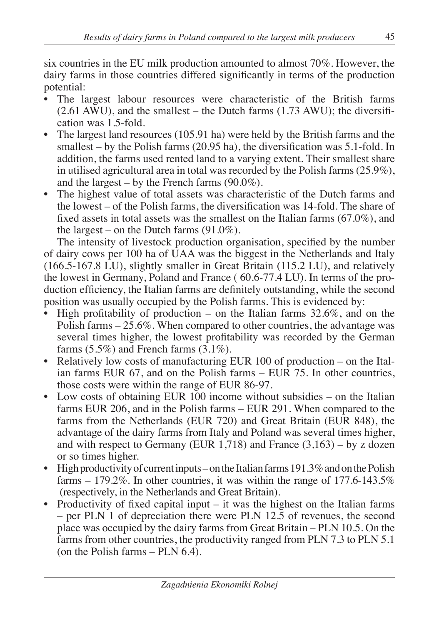six countries in the EU milk production amounted to almost 70%. However, the dairy farms in those countries differed significantly in terms of the production potential:

- The largest labour resources were characteristic of the British farms  $(2.61 \text{ AWU})$ , and the smallest – the Dutch farms  $(1.73 \text{ AWU})$ ; the diversification was 1.5-fold.
- The largest land resources (105.91 ha) were held by the British farms and the smallest – by the Polish farms (20.95 ha), the diversification was 5.1-fold. In addition, the farms used rented land to a varying extent. Their smallest share in utilised agricultural area in total was recorded by the Polish farms (25.9%), and the largest – by the French farms  $(90.0\%)$ .
- The highest value of total assets was characteristic of the Dutch farms and the lowest – of the Polish farms, the diversification was 14-fold. The share of fixed assets in total assets was the smallest on the Italian farms (67.0%), and the largest – on the Dutch farms  $(91.0\%)$ .

The intensity of livestock production organisation, specified by the number of dairy cows per 100 ha of UAA was the biggest in the Netherlands and Italy (166.5-167.8 LU), slightly smaller in Great Britain (115.2 LU), and relatively the lowest in Germany, Poland and France ( 60.6-77.4 LU). In terms of the production efficiency, the Italian farms are definitely outstanding, while the second position was usually occupied by the Polish farms. This is evidenced by:

- High profitability of production on the Italian farms  $32.6\%$ , and on the Polish farms  $-25.6\%$ . When compared to other countries, the advantage was several times higher, the lowest profitability was recorded by the German farms  $(5.5\%)$  and French farms  $(3.1\%)$ .
- Relatively low costs of manufacturing EUR 100 of production on the Italian farms EUR 67, and on the Polish farms – EUR 75. In other countries, those costs were within the range of EUR 86-97.
- Low costs of obtaining EUR 100 income without subsidies on the Italian farms EUR 206, and in the Polish farms – EUR 291. When compared to the farms from the Netherlands (EUR 720) and Great Britain (EUR 848), the advantage of the dairy farms from Italy and Poland was several times higher, and with respect to Germany (EUR 1,718) and France  $(3,163)$  – by z dozen or so times higher.
- High productivity of current inputs on the Italian farms 191.3% and on the Polish farms – 179.2%. In other countries, it was within the range of 177.6-143.5% (respectively, in the Netherlands and Great Britain).
- Productivity of fixed capital input it was the highest on the Italian farms – per PLN 1 of depreciation there were PLN 12.5 of revenues, the second place was occupied by the dairy farms from Great Britain – PLN 10.5. On the farms from other countries, the productivity ranged from PLN 7.3 to PLN 5.1 (on the Polish farms – PLN 6.4).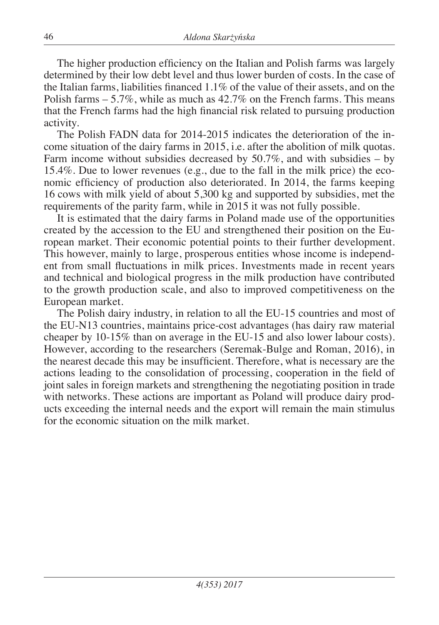The higher production efficiency on the Italian and Polish farms was largely determined by their low debt level and thus lower burden of costs. In the case of the Italian farms, liabilities financed 1.1% of the value of their assets, and on the Polish farms – 5.7%, while as much as 42.7% on the French farms. This means that the French farms had the high financial risk related to pursuing production activity.

The Polish FADN data for 2014-2015 indicates the deterioration of the income situation of the dairy farms in 2015, i.e. after the abolition of milk quotas. Farm income without subsidies decreased by  $50.7\%$ , and with subsidies – by 15.4%. Due to lower revenues (e.g., due to the fall in the milk price) the economic efficiency of production also deteriorated. In 2014, the farms keeping 16 cows with milk yield of about 5,300 kg and supported by subsidies, met the requirements of the parity farm, while in 2015 it was not fully possible.

It is estimated that the dairy farms in Poland made use of the opportunities created by the accession to the EU and strengthened their position on the European market. Their economic potential points to their further development. This however, mainly to large, prosperous entities whose income is independent from small fluctuations in milk prices. Investments made in recent years and technical and biological progress in the milk production have contributed to the growth production scale, and also to improved competitiveness on the European market.

The Polish dairy industry, in relation to all the EU-15 countries and most of the EU-N13 countries, maintains price-cost advantages (has dairy raw material cheaper by 10-15% than on average in the EU-15 and also lower labour costs). However, according to the researchers (Seremak-Bulge and Roman, 2016), in the nearest decade this may be insufficient. Therefore, what is necessary are the actions leading to the consolidation of processing, cooperation in the field of joint sales in foreign markets and strengthening the negotiating position in trade with networks. These actions are important as Poland will produce dairy products exceeding the internal needs and the export will remain the main stimulus for the economic situation on the milk market.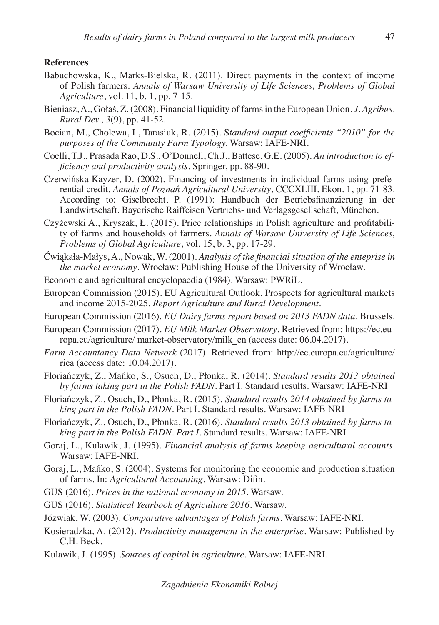#### **References**

- Babuchowska, K., Marks-Bielska, R. (2011). Direct payments in the context of income of Polish farmers. *Annals of Warsaw University of Life Sciences, Problems of Global Agriculture*, vol. 11, b. 1, pp. 7-15.
- Bieniasz, A., Gołaś, Z. (2008). Financial liquidity of farms in the European Union. *J. Agribus. Rural Dev., 3*(9), pp. 41-52.
- Bocian, M., Cholewa, I., Tarasiuk, R. (2015). S*tandard output coefficients "2010" for the purposes of the Community Farm Typology.* Warsaw: IAFE-NRI.
- Coelli, T.J., Prasada Rao, D.S., O'Donnell, Ch.J., Battese, G.E. (2005). *An introduction to efficiency and productivity analysis*. Springer, pp. 88-90.
- Czerwińska-Kayzer, D. (2002). Financing of investments in individual farms using preferential credit. *Annals of Poznań Agricultural University*, CCCXLIII, Ekon. 1, pp. 71-83. According to: Giselbrecht, P. (1991): Handbuch der Betriebsfinanzierung in der Landwirtschaft. Bayerische Raiffeisen Vertriebs- und Verlagsgesellschaft, München.
- Czyżewski A., Kryszak, Ł. (2015). Price relationships in Polish agriculture and profitability of farms and households of farmers. *Annals of Warsaw University of Life Sciences, Problems of Global Agriculture*, vol. 15, b. 3, pp. 17-29.
- Ćwiąkała-Małys, A., Nowak, W. (2001). *Analysis of the financial situation of the enteprise in the market economy*. Wrocław: Publishing House of the University of Wrocław.
- Economic and agricultural encyclopaedia (1984). Warsaw: PWRiL.
- European Commission (2015). EU Agricultural Outlook. Prospects for agricultural markets and income 2015-2025. *Report Agriculture and Rural Development*.
- European Commission (2016). *EU Dairy farms report based on 2013 FADN data*. Brussels.
- European Commission (2017). *EU Milk Market Observatory*. Retrieved from: https://ec.europa.eu/agriculture/ market-observatory/milk\_en (access date: 06.04.2017).
- *Farm Accountancy Data Network* (2017). Retrieved from: http://ec.europa.eu/agriculture/ rica (access date: 10.04.2017).
- Floriańczyk, Z., Mańko, S., Osuch, D., Płonka, R. (2014). *Standard results 2013 obtained by farms taking part in the Polish FADN*. Part I. Standard results. Warsaw: IAFE-NRI
- Floriańczyk, Z., Osuch, D., Płonka, R. (2015). *Standard results 2014 obtained by farms taking part in the Polish FADN.* Part I. Standard results. Warsaw: IAFE-NRI
- Floriańczyk, Z., Osuch, D., Płonka, R. (2016). *Standard results 2013 obtained by farms taking part in the Polish FADN. Part I*. Standard results. Warsaw: IAFE-NRI
- Goraj, L., Kulawik, J. (1995). *Financial analysis of farms keeping agricultural accounts*. Warsaw: IAFE-NRI.
- Goraj, L., Mańko, S. (2004). Systems for monitoring the economic and production situation of farms. In: *Agricultural Accounting*. Warsaw: Difin.
- GUS (2016). *Prices in the national economy in 2015.* Warsaw.
- GUS (2016). *Statistical Yearbook of Agriculture 2016*. Warsaw.
- Józwiak, W. (2003). *Comparative advantages of Polish farms*. Warsaw: IAFE-NRI.
- Kosieradzka, A. (2012). *Productivity management in the enterprise*. Warsaw: Published by C.H. Beck.
- Kulawik, J. (1995). *Sources of capital in agriculture*. Warsaw: IAFE-NRI.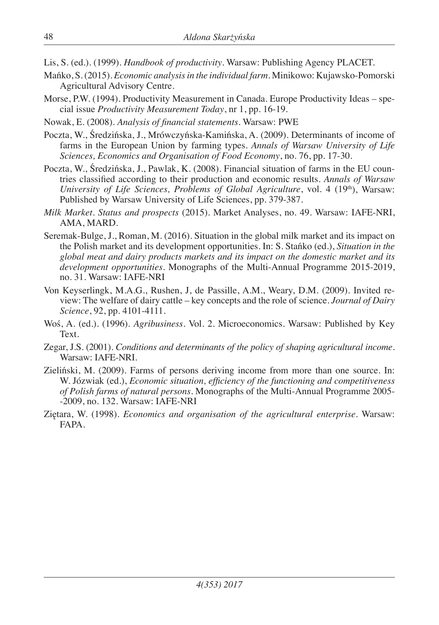Lis, S. (ed.). (1999). *Handbook of productivity*. Warsaw: Publishing Agency PLACET.

- Mańko, S. (2015). *Economic analysis in the individual farm*. Minikowo: Kujawsko-Pomorski Agricultural Advisory Centre.
- Morse, P.W. (1994). Productivity Measurement in Canada. Europe Productivity Ideas special issue *Productivity Measurement Today*, nr 1, pp. 16-19.
- Nowak, E. (2008). *Analysis of financial statements*. Warsaw: PWE
- Poczta, W., Średzińska, J., Mrówczyńska-Kamińska, A. (2009). Determinants of income of farms in the European Union by farming types. *Annals of Warsaw University of Life Sciences, Economics and Organisation of Food Economy*, no. 76, pp. 17-30.
- Poczta, W., Średzińska, J., Pawlak, K. (2008). Financial situation of farms in the EU countries classified according to their production and economic results. *Annals of Warsaw University of Life Sciences, Problems of Global Agriculture, vol.* 4 (19<sup>th</sup>), Warsaw: Published by Warsaw University of Life Sciences, pp. 379-387.
- *Milk Market. Status and prospects* (2015). Market Analyses, no. 49. Warsaw: IAFE-NRI, AMA, MARD.
- Seremak-Bulge, J., Roman, M. (2016). Situation in the global milk market and its impact on the Polish market and its development opportunities. In: S. Stańko (ed.), *Situation in the global meat and dairy products markets and its impact on the domestic market and its development opportunities*. Monographs of the Multi-Annual Programme 2015-2019, no. 31. Warsaw: IAFE-NRI
- Von Keyserlingk, M.A.G., Rushen, J, de Passille, A.M., Weary, D.M. (2009). Invited review: The welfare of dairy cattle – key concepts and the role of science. *Journal of Dairy Science*, 92, pp. 4101-4111.
- Woś, A. (ed.). (1996). *Agribusiness*. Vol. 2. Microeconomics. Warsaw: Published by Key Text.
- Zegar, J.S. (2001). *Conditions and determinants of the policy of shaping agricultural income*. Warsaw: IAFE-NRI.
- Zieliński, M. (2009). Farms of persons deriving income from more than one source. In: W. Józwiak (ed.), *Economic situation, efficiency of the functioning and competitiveness of Polish farms of natural persons*. Monographs of the Multi-Annual Programme 2005- -2009, no. 132. Warsaw: IAFE-NRI
- Ziętara, W. (1998). *Economics and organisation of the agricultural enterprise*. Warsaw: FAPA.